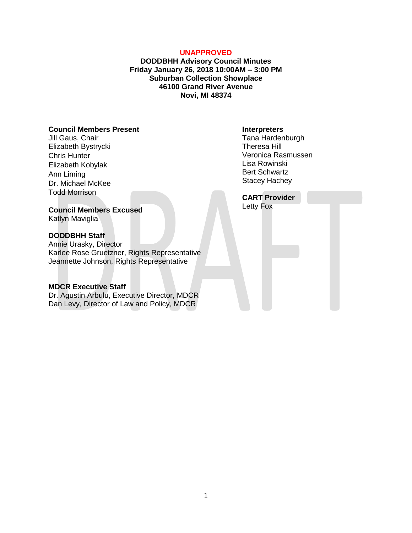#### **UNAPPROVED**

**DODDBHH Advisory Council Minutes Friday January 26, 2018 10:00AM – 3:00 PM Suburban Collection Showplace 46100 Grand River Avenue Novi, MI 48374**

# **Council Members Present**

Jill Gaus, Chair Elizabeth Bystrycki Chris Hunter Elizabeth Kobylak Ann Liming Dr. Michael McKee Todd Morrison

#### **Council Members Excused** Katlyn Maviglia

#### **DODDBHH Staff**

Annie Urasky, Director Karlee Rose Gruetzner, Rights Representative Jeannette Johnson, Rights Representative

### **MDCR Executive Staff**

Dr. Agustin Arbulu, Executive Director, MDCR Dan Levy, Director of Law and Policy, MDCR

#### **Interpreters**

Tana Hardenburgh Theresa Hill Veronica Rasmussen Lisa Rowinski Bert Schwartz Stacey Hachey

**CART Provider** Letty Fox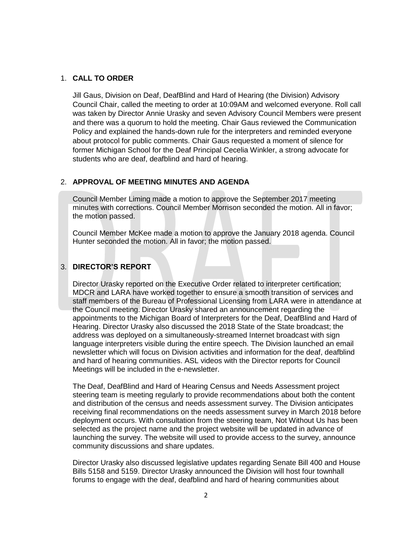### 1. **CALL TO ORDER**

Jill Gaus, Division on Deaf, DeafBlind and Hard of Hearing (the Division) Advisory Council Chair, called the meeting to order at 10:09AM and welcomed everyone. Roll call was taken by Director Annie Urasky and seven Advisory Council Members were present and there was a quorum to hold the meeting. Chair Gaus reviewed the Communication Policy and explained the hands-down rule for the interpreters and reminded everyone about protocol for public comments. Chair Gaus requested a moment of silence for former Michigan School for the Deaf Principal Cecelia Winkler, a strong advocate for students who are deaf, deafblind and hard of hearing.

### 2. **APPROVAL OF MEETING MINUTES AND AGENDA**

Council Member Liming made a motion to approve the September 2017 meeting minutes with corrections. Council Member Morrison seconded the motion. All in favor; the motion passed.

Council Member McKee made a motion to approve the January 2018 agenda. Council Hunter seconded the motion. All in favor; the motion passed.

# 3. **DIRECTOR'S REPORT**

Director Urasky reported on the Executive Order related to interpreter certification; MDCR and LARA have worked together to ensure a smooth transition of services and staff members of the Bureau of Professional Licensing from LARA were in attendance at the Council meeting. Director Urasky shared an announcement regarding the appointments to the Michigan Board of Interpreters for the Deaf, DeafBlind and Hard of Hearing. Director Urasky also discussed the 2018 State of the State broadcast; the address was deployed on a simultaneously-streamed Internet broadcast with sign language interpreters visible during the entire speech. The Division launched an email newsletter which will focus on Division activities and information for the deaf, deafblind and hard of hearing communities. ASL videos with the Director reports for Council Meetings will be included in the e-newsletter.

The Deaf, DeafBlind and Hard of Hearing Census and Needs Assessment project steering team is meeting regularly to provide recommendations about both the content and distribution of the census and needs assessment survey. The Division anticipates receiving final recommendations on the needs assessment survey in March 2018 before deployment occurs. With consultation from the steering team, Not Without Us has been selected as the project name and the project website will be updated in advance of launching the survey. The website will used to provide access to the survey, announce community discussions and share updates.

Director Urasky also discussed legislative updates regarding Senate Bill 400 and House Bills 5158 and 5159. Director Urasky announced the Division will host four townhall forums to engage with the deaf, deafblind and hard of hearing communities about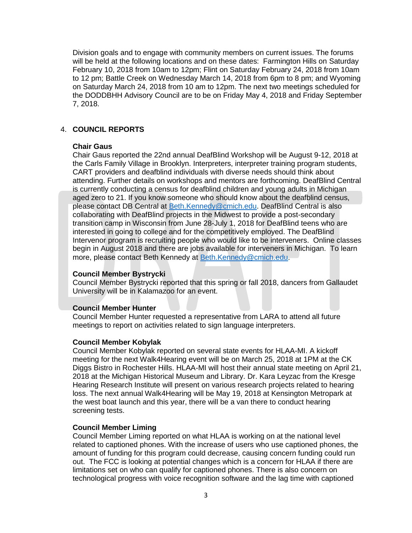Division goals and to engage with community members on current issues. The forums will be held at the following locations and on these dates: Farmington Hills on Saturday February 10, 2018 from 10am to 12pm; Flint on Saturday February 24, 2018 from 10am to 12 pm; Battle Creek on Wednesday March 14, 2018 from 6pm to 8 pm; and Wyoming on Saturday March 24, 2018 from 10 am to 12pm. The next two meetings scheduled for the DODDBHH Advisory Council are to be on Friday May 4, 2018 and Friday September 7, 2018.

# 4. **COUNCIL REPORTS**

### **Chair Gaus**

Chair Gaus reported the 22nd annual DeafBlind Workshop will be August 9-12, 2018 at the Carls Family Village in Brooklyn. Interpreters, interpreter training program students, CART providers and deafblind individuals with diverse needs should think about attending. Further details on workshops and mentors are forthcoming. DeafBlind Central is currently conducting a census for deafblind children and young adults in Michigan aged zero to 21. If you know someone who should know about the deafblind census, please contact DB Central at [Beth.Kennedy@cmich.edu.](mailto:Beth.Kennedy@cmich.edu) DeafBlind Central is also collaborating with DeafBlind projects in the Midwest to provide a post-secondary transition camp in Wisconsin from June 28-July 1, 2018 for DeafBlind teens who are interested in going to college and for the competitively employed. The DeafBlind Intervenor program is recruiting people who would like to be interveners. Online classes begin in August 2018 and there are jobs available for interveners in Michigan. To learn more, please contact Beth Kennedy at [Beth.Kennedy@cmich.edu.](mailto:Beth.Kennedy@cmich.edu)

### **Council Member Bystrycki**

Council Member Bystrycki reported that this spring or fall 2018, dancers from Gallaudet University will be in Kalamazoo for an event.

### **Council Member Hunter**

Council Member Hunter requested a representative from LARA to attend all future meetings to report on activities related to sign language interpreters.

### **Council Member Kobylak**

Council Member Kobylak reported on several state events for HLAA-MI. A kickoff meeting for the next Walk4Hearing event will be on March 25, 2018 at 1PM at the CK Diggs Bistro in Rochester Hills. HLAA-MI will host their annual state meeting on April 21, 2018 at the Michigan Historical Museum and Library. Dr. Kara Leyzac from the Kresge Hearing Research Institute will present on various research projects related to hearing loss. The next annual Walk4Hearing will be May 19, 2018 at Kensington Metropark at the west boat launch and this year, there will be a van there to conduct hearing screening tests.

### **Council Member Liming**

Council Member Liming reported on what HLAA is working on at the national level related to captioned phones. With the increase of users who use captioned phones, the amount of funding for this program could decrease, causing concern funding could run out. The FCC is looking at potential changes which is a concern for HLAA if there are limitations set on who can qualify for captioned phones. There is also concern on technological progress with voice recognition software and the lag time with captioned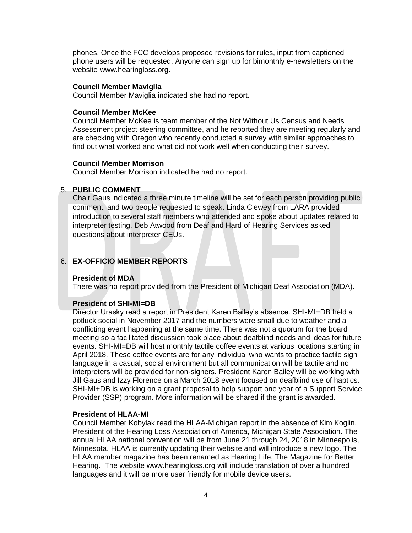phones. Once the FCC develops proposed revisions for rules, input from captioned phone users will be requested. Anyone can sign up for bimonthly e-newsletters on the website www.hearingloss.org.

### **Council Member Maviglia**

Council Member Maviglia indicated she had no report.

### **Council Member McKee**

Council Member McKee is team member of the Not Without Us Census and Needs Assessment project steering committee, and he reported they are meeting regularly and are checking with Oregon who recently conducted a survey with similar approaches to find out what worked and what did not work well when conducting their survey.

# **Council Member Morrison**

Council Member Morrison indicated he had no report.

### 5. **PUBLIC COMMENT**

Chair Gaus indicated a three minute timeline will be set for each person providing public comment, and two people requested to speak. Linda Clewey from LARA provided introduction to several staff members who attended and spoke about updates related to interpreter testing. Deb Atwood from Deaf and Hard of Hearing Services asked questions about interpreter CEUs.

# 6. **EX-OFFICIO MEMBER REPORTS**

# **President of MDA**

There was no report provided from the President of Michigan Deaf Association (MDA).

# **President of SHI-MI=DB**

Director Urasky read a report in President Karen Bailey's absence. SHI-MI=DB held a potluck social in November 2017 and the numbers were small due to weather and a conflicting event happening at the same time. There was not a quorum for the board meeting so a facilitated discussion took place about deafblind needs and ideas for future events. SHI-MI=DB will host monthly tactile coffee events at various locations starting in April 2018. These coffee events are for any individual who wants to practice tactile sign language in a casual, social environment but all communication will be tactile and no interpreters will be provided for non-signers. President Karen Bailey will be working with Jill Gaus and Izzy Florence on a March 2018 event focused on deafblind use of haptics. SHI-MI+DB is working on a grant proposal to help support one year of a Support Service Provider (SSP) program. More information will be shared if the grant is awarded.

### **President of HLAA-MI**

Council Member Kobylak read the HLAA-Michigan report in the absence of Kim Koglin, President of the Hearing Loss Association of America, Michigan State Association. The annual HLAA national convention will be from June 21 through 24, 2018 in Minneapolis, Minnesota. HLAA is currently updating their website and will introduce a new logo. The HLAA member magazine has been renamed as Hearing Life, The Magazine for Better Hearing. The website www.hearingloss.org will include translation of over a hundred languages and it will be more user friendly for mobile device users.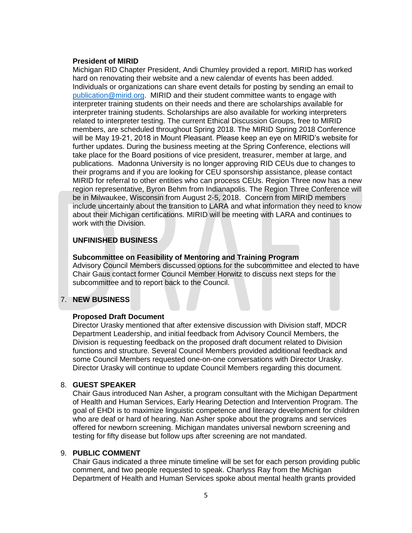#### **President of MIRID**

Michigan RID Chapter President, Andi Chumley provided a report. MIRID has worked hard on renovating their website and a new calendar of events has been added. Individuals or organizations can share event details for posting by sending an email to [publication@mirid.org.](mailto:publication@mirid.org) MIRID and their student committee wants to engage with interpreter training students on their needs and there are scholarships available for interpreter training students. Scholarships are also available for working interpreters related to interpreter testing. The current Ethical Discussion Groups, free to MIRID members, are scheduled throughout Spring 2018. The MIRID Spring 2018 Conference will be May 19-21, 2018 in Mount Pleasant. Please keep an eye on MIRID's website for further updates. During the business meeting at the Spring Conference, elections will take place for the Board positions of vice president, treasurer, member at large, and publications. Madonna University is no longer approving RID CEUs due to changes to their programs and if you are looking for CEU sponsorship assistance, please contact MIRID for referral to other entities who can process CEUs. Region Three now has a new region representative, Byron Behm from Indianapolis. The Region Three Conference will be in Milwaukee, Wisconsin from August 2-5, 2018. Concern from MIRID members include uncertainly about the transition to LARA and what information they need to know about their Michigan certifications. MIRID will be meeting with LARA and continues to work with the Division.

### **UNFINISHED BUSINESS**

### **Subcommittee on Feasibility of Mentoring and Training Program**

Advisory Council Members discussed options for the subcommittee and elected to have Chair Gaus contact former Council Member Horwitz to discuss next steps for the subcommittee and to report back to the Council.

# 7. **NEW BUSINESS**

### **Proposed Draft Document**

Director Urasky mentioned that after extensive discussion with Division staff, MDCR Department Leadership, and initial feedback from Advisory Council Members, the Division is requesting feedback on the proposed draft document related to Division functions and structure. Several Council Members provided additional feedback and some Council Members requested one-on-one conversations with Director Urasky. Director Urasky will continue to update Council Members regarding this document.

### 8. **GUEST SPEAKER**

Chair Gaus introduced Nan Asher, a program consultant with the Michigan Department of Health and Human Services, Early Hearing Detection and Intervention Program. The goal of EHDI is to maximize linguistic competence and literacy development for children who are deaf or hard of hearing. Nan Asher spoke about the programs and services offered for newborn screening. Michigan mandates universal newborn screening and testing for fifty disease but follow ups after screening are not mandated.

### 9. **PUBLIC COMMENT**

Chair Gaus indicated a three minute timeline will be set for each person providing public comment, and two people requested to speak. Charlyss Ray from the Michigan Department of Health and Human Services spoke about mental health grants provided